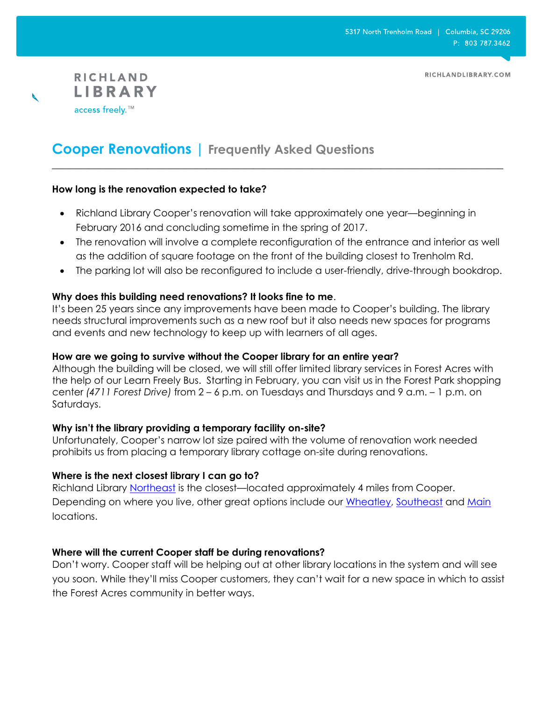RICHLANDLIBRARY.COM



# **Cooper Renovations | Frequently Asked Questions**

# **How long is the renovation expected to take?**

 Richland Library Cooper's renovation will take approximately one year—beginning in February 2016 and concluding sometime in the spring of 2017.

**\_\_\_\_\_\_\_\_\_\_\_\_\_\_\_\_\_\_\_\_\_\_\_\_\_\_\_\_\_\_\_\_\_\_\_\_\_\_\_\_\_\_\_\_\_\_\_\_\_\_\_\_\_\_\_\_\_\_\_\_\_\_\_\_\_\_\_\_\_\_\_\_\_\_\_\_\_\_\_\_\_\_\_\_\_**

- The renovation will involve a complete reconfiguration of the entrance and interior as well as the addition of square footage on the front of the building closest to Trenholm Rd.
- The parking lot will also be reconfigured to include a user-friendly, drive-through bookdrop.

# **Why does this building need renovations? It looks fine to me**.

It's been 25 years since any improvements have been made to Cooper's building. The library needs structural improvements such as a new roof but it also needs new spaces for programs and events and new technology to keep up with learners of all ages.

# **How are we going to survive without the Cooper library for an entire year?**

Although the building will be closed, we will still offer limited library services in Forest Acres with the help of our Learn Freely Bus. Starting in February, you can visit us in the Forest Park shopping center *(4711 Forest Drive)* from 2 – 6 p.m. on Tuesdays and Thursdays and 9 a.m. – 1 p.m. on Saturdays.

# **Why isn't the library providing a temporary facility on-site?**

Unfortunately, Cooper's narrow lot size paired with the volume of renovation work needed prohibits us from placing a temporary library cottage on-site during renovations.

# **Where is the next closest library I can go to?**

Richland Library [Northeast](https://www.google.com/maps/place/7490+Parklane+Rd,+Columbia,+SC+29223/@34.0755709,-80.9597185,17z/data=!3m1!4b1!4m2!3m1!1s0x88f8af309d0575f3:0xc6e9f50c5536e9dd) is the closest-located approximately 4 miles from Cooper. Depending on where you live, other great options include our [Wheatley,](https://www.google.com/maps?q=931+Woodrow+Street+Columbia+29205&t=m&z=17) [Southeast](https://www.google.com/maps?q=7421+Garners+Ferry+Road+Columbia+29209&t=m&z=17) and [Main](https://www.google.com/maps/place/1431+Assembly+St,+Columbia,+SC+29201/@34.0041546,-81.0395968,17z/data=!3m1!4b1!4m2!3m1!1s0x88f8a4d35260ad59:0x227b39e16e545bd4) locations.

# **Where will the current Cooper staff be during renovations?**

Don't worry. Cooper staff will be helping out at other library locations in the system and will see you soon. While they'll miss Cooper customers, they can't wait for a new space in which to assist the Forest Acres community in better ways.